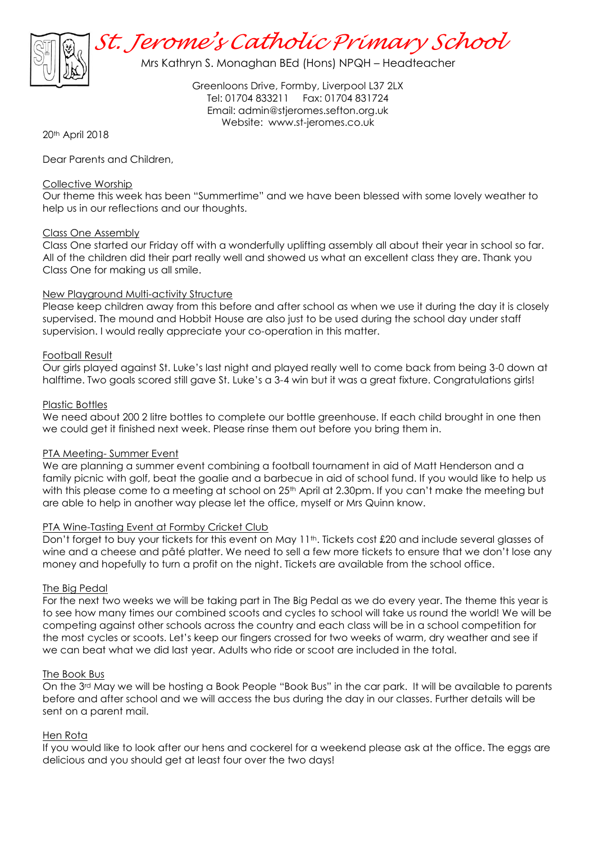

Mrs Kathryn S. Monaghan BEd (Hons) NPQH – Headteacher

Greenloons Drive, Formby, Liverpool L37 2LX Tel: 01704 833211 Fax: 01704 831724 Email: [admin@stjeromes.sefton.org.uk](mailto:admin.stjeromes@schools.sefton.gov.uk) Website: [www.st-jeromes.co.uk](http://www.st-jeromes.co.uk/)

20th April 2018

Dear Parents and Children,

# Collective Worship

Our theme this week has been "Summertime" and we have been blessed with some lovely weather to help us in our reflections and our thoughts.

# Class One Assembly

Class One started our Friday off with a wonderfully uplifting assembly all about their year in school so far. All of the children did their part really well and showed us what an excellent class they are. Thank you Class One for making us all smile.

# New Playground Multi-activity Structure

Please keep children away from this before and after school as when we use it during the day it is closely supervised. The mound and Hobbit House are also just to be used during the school day under staff supervision. I would really appreciate your co-operation in this matter.

# Football Result

Our girls played against St. Luke's last night and played really well to come back from being 3-0 down at halftime. Two goals scored still gave St. Luke's a 3-4 win but it was a great fixture. Congratulations girls!

# Plastic Bottles

We need about 200 2 litre bottles to complete our bottle greenhouse. If each child brought in one then we could get it finished next week. Please rinse them out before you bring them in.

# PTA Meeting- Summer Event

We are planning a summer event combining a football tournament in aid of Matt Henderson and a family picnic with golf, beat the goalie and a barbecue in aid of school fund. If you would like to help us with this please come to a meeting at school on 25<sup>th</sup> April at 2.30pm. If you can't make the meeting but are able to help in another way please let the office, myself or Mrs Quinn know.

# PTA Wine-Tasting Event at Formby Cricket Club

Don't forget to buy your tickets for this event on May 11<sup>th</sup>. Tickets cost £20 and include several glasses of wine and a cheese and pâté platter. We need to sell a few more tickets to ensure that we don't lose any money and hopefully to turn a profit on the night. Tickets are available from the school office.

### The Big Pedal

For the next two weeks we will be taking part in The Big Pedal as we do every year. The theme this year is to see how many times our combined scoots and cycles to school will take us round the world! We will be competing against other schools across the country and each class will be in a school competition for the most cycles or scoots. Let's keep our fingers crossed for two weeks of warm, dry weather and see if we can beat what we did last year. Adults who ride or scoot are included in the total.

### The Book Bus

On the 3rd May we will be hosting a Book People "Book Bus" in the car park. It will be available to parents before and after school and we will access the bus during the day in our classes. Further details will be sent on a parent mail.

### Hen Rota

If you would like to look after our hens and cockerel for a weekend please ask at the office. The eggs are delicious and you should get at least four over the two days!